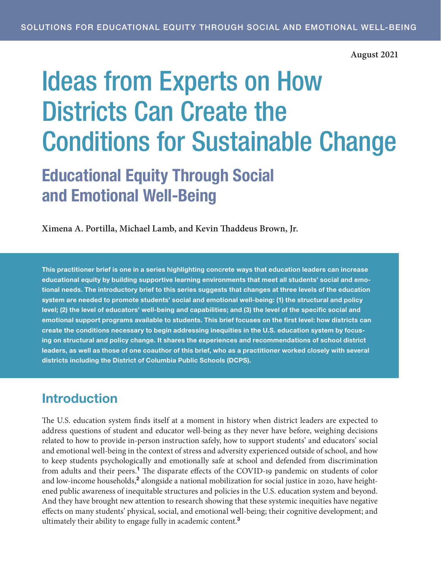#### **August 2021**

# <span id="page-0-0"></span>Ideas from Experts on How Districts Can Create the Conditions for Sustainable Change

Educational Equity Through Social and Emotional Well-Being

**Ximena A. Portilla, Michael Lamb, and Kevin Thaddeus Brown, Jr.**

This practitioner brief is one in a series highlighting concrete ways that education leaders can increase educational equity by building supportive learning environments that meet all students' social and emotional needs. The introductory brief to this series suggests that changes at three levels of the education system are needed to promote students' social and emotional well-being: (1) the structural and policy level; (2) the level of educators' well-being and capabilities; and (3) the level of the specific social and emotional support programs available to students. This brief focuses on the first level: how districts can create the conditions necessary to begin addressing inequities in the U.S. education system by focusing on structural and policy change. It shares the experiences and recommendations of school district leaders, as well as those of one coauthor of this brief, who as a practitioner worked closely with several districts including the District of Columbia Public Schools (DCPS).

## Introduction

The U.S. education system finds itself at a moment in history when district leaders are expected to address questions of student and educator well-being as they never have before, weighing decisions related to how to provide in-person instruction safely, how to support students' and educators' social and emotional well-being in the context of stress and adversity experienced outside of school, and how to keep students psychologically and emotionally safe at school and defended from discrimination from adults and their peers.<sup>[1](#page-13-0)</sup> The disparate effects of the COVID-19 pandemic on students of color and low-income households,<sup>[2](#page-13-0)</sup> alongside a national mobilization for social justice in 2020, have heightened public awareness of inequitable structures and policies in the U.S. education system and beyond. And they have brought new attention to research showing that these systemic inequities have negative effects on many students' physical, social, and emotional well-being; their cognitive development; and ultimately their ability to engage fully in academic content.<sup>[3](#page-13-0)</sup>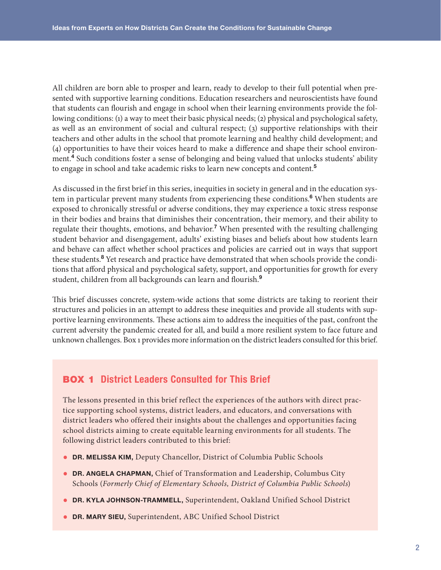<span id="page-1-0"></span>All children are born able to prosper and learn, ready to develop to their full potential when presented with supportive learning conditions. Education researchers and neuroscientists have found that students can flourish and engage in school when their learning environments provide the following conditions: (1) a way to meet their basic physical needs; (2) physical and psychological safety, as well as an environment of social and cultural respect; (3) supportive relationships with their teachers and other adults in the school that promote learning and healthy child development; and (4) opportunities to have their voices heard to make a difference and shape their school environment.[4](#page-13-0) Such conditions foster a sense of belonging and being valued that unlocks students' ability to engage in school and take academic risks to learn new concepts and content.[5](#page-13-0)

As discussed in the first brief in this series, inequities in society in general and in the education sys-tem in particular prevent many students from experiencing these conditions.<sup>[6](#page-13-0)</sup> When students are exposed to chronically stressful or adverse conditions, they may experience a toxic stress response in their bodies and brains that diminishes their concentration, their memory, and their ability to regulate their thoughts, emotions, and behavior.<sup>[7](#page-13-0)</sup> When presented with the resulting challenging student behavior and disengagement, adults' existing biases and beliefs about how students learn and behave can affect whether school practices and policies are carried out in ways that support these students.<sup>[8](#page-14-0)</sup> Yet research and practice have demonstrated that when schools provide the conditions that afford physical and psychological safety, support, and opportunities for growth for every student, children from all backgrounds can learn and flourish.<sup>[9](#page-14-0)</sup>

This brief discusses concrete, system-wide actions that some districts are taking to reorient their structures and policies in an attempt to address these inequities and provide all students with supportive learning environments. These actions aim to address the inequities of the past, confront the current adversity the pandemic created for all, and build a more resilient system to face future and unknown challenges. Box 1 provides more information on the district leaders consulted for this brief.

## BOX 1 District Leaders Consulted for This Brief

The lessons presented in this brief reflect the experiences of the authors with direct practice supporting school systems, district leaders, and educators, and conversations with district leaders who offered their insights about the challenges and opportunities facing school districts aiming to create equitable learning environments for all students. The following district leaders contributed to this brief:

- DR. MELISSA KIM, Deputy Chancellor, District of Columbia Public Schools
- DR. ANGELA CHAPMAN, Chief of Transformation and Leadership, Columbus City Schools (*Formerly Chief of Elementary Schools, District of Columbia Public Schools*)
- DR. KYLA JOHNSON-TRAMMELL, Superintendent, Oakland Unified School District
- DR. MARY SIEU, Superintendent, ABC Unified School District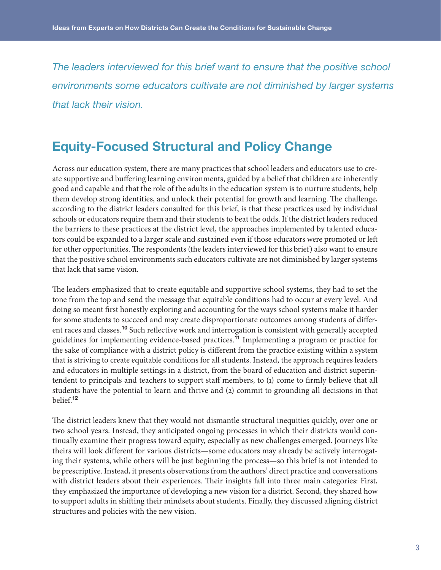<span id="page-2-0"></span>*The leaders interviewed for this brief want to ensure that the positive school environments some educators cultivate are not diminished by larger systems that lack their vision.*

# Equity-Focused Structural and Policy Change

Across our education system, there are many practices that school leaders and educators use to create supportive and buffering learning environments, guided by a belief that children are inherently good and capable and that the role of the adults in the education system is to nurture students, help them develop strong identities, and unlock their potential for growth and learning. The challenge, according to the district leaders consulted for this brief, is that these practices used by individual schools or educators require them and their students to beat the odds. If the district leaders reduced the barriers to these practices at the district level, the approaches implemented by talented educators could be expanded to a larger scale and sustained even if those educators were promoted or left for other opportunities. The respondents (the leaders interviewed for this brief) also want to ensure that the positive school environments such educators cultivate are not diminished by larger systems that lack that same vision.

The leaders emphasized that to create equitable and supportive school systems, they had to set the tone from the top and send the message that equitable conditions had to occur at every level. And doing so meant first honestly exploring and accounting for the ways school systems make it harder for some students to succeed and may create disproportionate outcomes among students of different races and classes.[10](#page-14-0) Such reflective work and interrogation is consistent with generally accepted guidelines for implementing evidence-based practices.[11](#page-14-0) Implementing a program or practice for the sake of compliance with a district policy is different from the practice existing within a system that is striving to create equitable conditions for all students. Instead, the approach requires leaders and educators in multiple settings in a district, from the board of education and district superintendent to principals and teachers to support staff members, to (1) come to firmly believe that all students have the potential to learn and thrive and (2) commit to grounding all decisions in that belief.[12](#page-14-0)

The district leaders knew that they would not dismantle structural inequities quickly, over one or two school years. Instead, they anticipated ongoing processes in which their districts would continually examine their progress toward equity, especially as new challenges emerged. Journeys like theirs will look different for various districts—some educators may already be actively interrogating their systems, while others will be just beginning the process—so this brief is not intended to be prescriptive. Instead, it presents observations from the authors' direct practice and conversations with district leaders about their experiences. Their insights fall into three main categories: First, they emphasized the importance of developing a new vision for a district. Second, they shared how to support adults in shifting their mindsets about students. Finally, they discussed aligning district structures and policies with the new vision.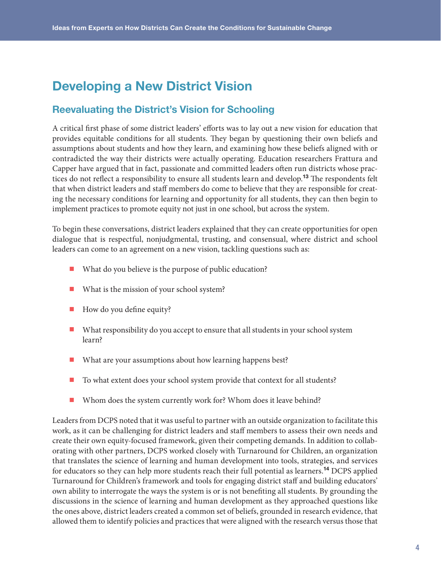# <span id="page-3-0"></span>Developing a New District Vision

## Reevaluating the District's Vision for Schooling

A critical first phase of some district leaders' efforts was to lay out a new vision for education that provides equitable conditions for all students. They began by questioning their own beliefs and assumptions about students and how they learn, and examining how these beliefs aligned with or contradicted the way their districts were actually operating. Education researchers Frattura and Capper have argued that in fact, passionate and committed leaders often run districts whose prac-tices do not reflect a responsibility to ensure all students learn and develop.<sup>[13](#page-14-0)</sup> The respondents felt that when district leaders and staff members do come to believe that they are responsible for creating the necessary conditions for learning and opportunity for all students, they can then begin to implement practices to promote equity not just in one school, but across the system.

To begin these conversations, district leaders explained that they can create opportunities for open dialogue that is respectful, nonjudgmental, trusting, and consensual, where district and school leaders can come to an agreement on a new vision, tackling questions such as:

- What do you believe is the purpose of public education?
- What is the mission of your school system?
- How do you define equity?
- What responsibility do you accept to ensure that all students in your school system learn?
- What are your assumptions about how learning happens best?
- To what extent does your school system provide that context for all students?
- Whom does the system currently work for? Whom does it leave behind?

Leaders from DCPS noted that it was useful to partner with an outside organization to facilitate this work, as it can be challenging for district leaders and staff members to assess their own needs and create their own equity-focused framework, given their competing demands. In addition to collaborating with other partners, DCPS worked closely with Turnaround for Children, an organization that translates the science of learning and human development into tools, strategies, and services for educators so they can help more students reach their full potential as learners.<sup>[14](#page-14-0)</sup> DCPS applied Turnaround for Children's framework and tools for engaging district staff and building educators' own ability to interrogate the ways the system is or is not benefiting all students. By grounding the discussions in the science of learning and human development as they approached questions like the ones above, district leaders created a common set of beliefs, grounded in research evidence, that allowed them to identify policies and practices that were aligned with the research versus those that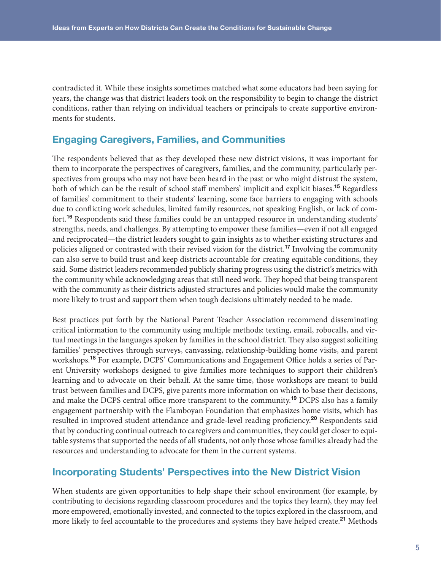<span id="page-4-0"></span>contradicted it. While these insights sometimes matched what some educators had been saying for years, the change was that district leaders took on the responsibility to begin to change the district conditions, rather than relying on individual teachers or principals to create supportive environments for students.

## Engaging Caregivers, Families, and Communities

The respondents believed that as they developed these new district visions, it was important for them to incorporate the perspectives of caregivers, families, and the community, particularly perspectives from groups who may not have been heard in the past or who might distrust the system, both of which can be the result of school staff members' implicit and explicit biases.<sup>[15](#page-14-0)</sup> Regardless of families' commitment to their students' learning, some face barriers to engaging with schools due to conflicting work schedules, limited family resources, not speaking English, or lack of com-fort.<sup>[16](#page-14-0)</sup> Respondents said these families could be an untapped resource in understanding students' strengths, needs, and challenges. By attempting to empower these families—even if not all engaged and reciprocated—the district leaders sought to gain insights as to whether existing structures and policies aligned or contrasted with their revised vision for the district.<sup>[17](#page-14-0)</sup> Involving the community can also serve to build trust and keep districts accountable for creating equitable conditions, they said. Some district leaders recommended publicly sharing progress using the district's metrics with the community while acknowledging areas that still need work. They hoped that being transparent with the community as their districts adjusted structures and policies would make the community more likely to trust and support them when tough decisions ultimately needed to be made.

Best practices put forth by the National Parent Teacher Association recommend disseminating critical information to the community using multiple methods: texting, email, robocalls, and virtual meetings in the languages spoken by families in the school district. They also suggest soliciting families' perspectives through surveys, canvassing, relationship-building home visits, and parent workshops.<sup>[18](#page-14-0)</sup> For example, DCPS' Communications and Engagement Office holds a series of Parent University workshops designed to give families more techniques to support their children's learning and to advocate on their behalf. At the same time, those workshops are meant to build trust between families and DCPS, give parents more information on which to base their decisions, and make the DCPS central office more transparent to the community.<sup>[19](#page-14-0)</sup> DCPS also has a family engagement partnership with the Flamboyan Foundation that emphasizes home visits, which has resulted in improved student attendance and grade-level reading proficiency.<sup>[20](#page-14-0)</sup> Respondents said that by conducting continual outreach to caregivers and communities, they could get closer to equitable systems that supported the needs of all students, not only those whose families already had the resources and understanding to advocate for them in the current systems.

## Incorporating Students' Perspectives into the New District Vision

When students are given opportunities to help shape their school environment (for example, by contributing to decisions regarding classroom procedures and the topics they learn), they may feel more empowered, emotionally invested, and connected to the topics explored in the classroom, and more likely to feel accountable to the procedures and systems they have helped create.<sup>[21](#page-14-0)</sup> Methods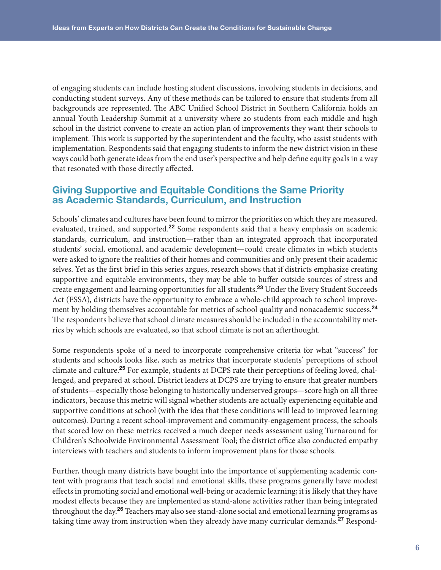<span id="page-5-0"></span>of engaging students can include hosting student discussions, involving students in decisions, and conducting student surveys. Any of these methods can be tailored to ensure that students from all backgrounds are represented. The ABC Unified School District in Southern California holds an annual Youth Leadership Summit at a university where 20 students from each middle and high school in the district convene to create an action plan of improvements they want their schools to implement. This work is supported by the superintendent and the faculty, who assist students with implementation. Respondents said that engaging students to inform the new district vision in these ways could both generate ideas from the end user's perspective and help define equity goals in a way that resonated with those directly affected.

## Giving Supportive and Equitable Conditions the Same Priority as Academic Standards, Curriculum, and Instruction

Schools' climates and cultures have been found to mirror the priorities on which they are measured, evaluated, trained, and supported.<sup>[22](#page-14-0)</sup> Some respondents said that a heavy emphasis on academic standards, curriculum, and instruction—rather than an integrated approach that incorporated students' social, emotional, and academic development—could create climates in which students were asked to ignore the realities of their homes and communities and only present their academic selves. Yet as the first brief in this series argues, research shows that if districts emphasize creating supportive and equitable environments, they may be able to buffer outside sources of stress and create engagement and learning opportunities for all students.[23](#page-14-0) Under the Every Student Succeeds Act (ESSA), districts have the opportunity to embrace a whole-child approach to school improve-ment by holding themselves accountable for metrics of school quality and nonacademic success.<sup>[24](#page-14-0)</sup> The respondents believe that school climate measures should be included in the accountability metrics by which schools are evaluated, so that school climate is not an afterthought.

Some respondents spoke of a need to incorporate comprehensive criteria for what "success" for students and schools looks like, such as metrics that incorporate students' perceptions of school climate and culture.<sup>[25](#page-14-0)</sup> For example, students at DCPS rate their perceptions of feeling loved, challenged, and prepared at school. District leaders at DCPS are trying to ensure that greater numbers of students—especially those belonging to historically underserved groups—score high on all three indicators, because this metric will signal whether students are actually experiencing equitable and supportive conditions at school (with the idea that these conditions will lead to improved learning outcomes). During a recent school-improvement and community-engagement process, the schools that scored low on these metrics received a much deeper needs assessment using Turnaround for Children's Schoolwide Environmental Assessment Tool; the district office also conducted empathy interviews with teachers and students to inform improvement plans for those schools.

Further, though many districts have bought into the importance of supplementing academic content with programs that teach social and emotional skills, these programs generally have modest effects in promoting social and emotional well-being or academic learning; it is likely that they have modest effects because they are implemented as stand-alone activities rather than being integrated throughout the day.<sup>[26](#page-14-0)</sup> Teachers may also see stand-alone social and emotional learning programs as taking time away from instruction when they already have many curricular demands.<sup>[27](#page-14-0)</sup> Respond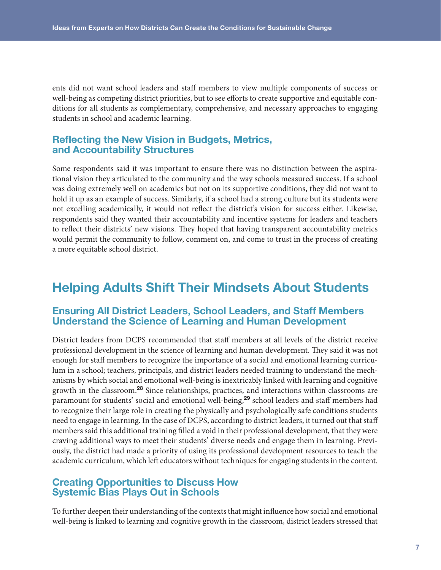<span id="page-6-0"></span>ents did not want school leaders and staff members to view multiple components of success or well-being as competing district priorities, but to see efforts to create supportive and equitable conditions for all students as complementary, comprehensive, and necessary approaches to engaging students in school and academic learning.

## Reflecting the New Vision in Budgets, Metrics, and Accountability Structures

Some respondents said it was important to ensure there was no distinction between the aspirational vision they articulated to the community and the way schools measured success. If a school was doing extremely well on academics but not on its supportive conditions, they did not want to hold it up as an example of success. Similarly, if a school had a strong culture but its students were not excelling academically, it would not reflect the district's vision for success either. Likewise, respondents said they wanted their accountability and incentive systems for leaders and teachers to reflect their districts' new visions. They hoped that having transparent accountability metrics would permit the community to follow, comment on, and come to trust in the process of creating a more equitable school district.

# Helping Adults Shift Their Mindsets About Students

## Ensuring All District Leaders, School Leaders, and Staff Members Understand the Science of Learning and Human Development

District leaders from DCPS recommended that staff members at all levels of the district receive professional development in the science of learning and human development. They said it was not enough for staff members to recognize the importance of a social and emotional learning curriculum in a school; teachers, principals, and district leaders needed training to understand the mechanisms by which social and emotional well-being is inextricably linked with learning and cognitive growth in the classroom.<sup>[28](#page-14-0)</sup> Since relationships, practices, and interactions within classrooms are paramount for students' social and emotional well-being,<sup>[29](#page-14-0)</sup> school leaders and staff members had to recognize their large role in creating the physically and psychologically safe conditions students need to engage in learning. In the case of DCPS, according to district leaders, it turned out that staff members said this additional training filled a void in their professional development, that they were craving additional ways to meet their students' diverse needs and engage them in learning. Previously, the district had made a priority of using its professional development resources to teach the academic curriculum, which left educators without techniques for engaging students in the content.

## Creating Opportunities to Discuss How Systemic Bias Plays Out in Schools

To further deepen their understanding of the contexts that might influence how social and emotional well-being is linked to learning and cognitive growth in the classroom, district leaders stressed that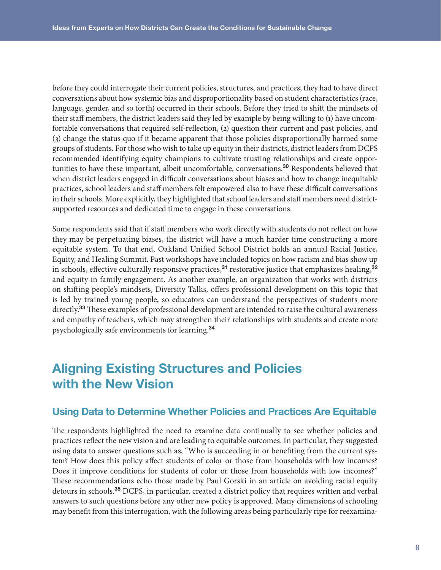<span id="page-7-0"></span>before they could interrogate their current policies, structures, and practices, they had to have direct conversations about how systemic bias and disproportionality based on student characteristics (race, language, gender, and so forth) occurred in their schools. Before they tried to shift the mindsets of their staff members, the district leaders said they led by example by being willing to (1) have uncomfortable conversations that required self-reflection, (2) question their current and past policies, and (3) change the status quo if it became apparent that those policies disproportionally harmed some groups of students. For those who wish to take up equity in their districts, district leaders from DCPS recommended identifying equity champions to cultivate trusting relationships and create oppor-tunities to have these important, albeit uncomfortable, conversations.<sup>[30](#page-15-0)</sup> Respondents believed that when district leaders engaged in difficult conversations about biases and how to change inequitable practices, school leaders and staff members felt empowered also to have these difficult conversations in their schools. More explicitly, they highlighted that school leaders and staff members need districtsupported resources and dedicated time to engage in these conversations.

Some respondents said that if staff members who work directly with students do not reflect on how they may be perpetuating biases, the district will have a much harder time constructing a more equitable system. To that end, Oakland Unified School District holds an annual Racial Justice, Equity, and Healing Summit. Past workshops have included topics on how racism and bias show up in schools, effective culturally responsive practices,<sup>[31](#page-15-0)</sup> restorative justice that emphasizes healing,<sup>[32](#page-15-0)</sup> and equity in family engagement. As another example, an organization that works with districts on shifting people's mindsets, Diversity Talks, offers professional development on this topic that is led by trained young people, so educators can understand the perspectives of students more directly.[33](#page-15-0) These examples of professional development are intended to raise the cultural awareness and empathy of teachers, which may strengthen their relationships with students and create more psychologically safe environments for learning.[34](#page-15-0)

# Aligning Existing Structures and Policies with the New Vision

## Using Data to Determine Whether Policies and Practices Are Equitable

The respondents highlighted the need to examine data continually to see whether policies and practices reflect the new vision and are leading to equitable outcomes. In particular, they suggested using data to answer questions such as, "Who is succeeding in or benefiting from the current system? How does this policy affect students of color or those from households with low incomes? Does it improve conditions for students of color or those from households with low incomes?" These recommendations echo those made by Paul Gorski in an article on avoiding racial equity detours in schools.[35](#page-15-0) DCPS, in particular, created a district policy that requires written and verbal answers to such questions before any other new policy is approved. Many dimensions of schooling may benefit from this interrogation, with the following areas being particularly ripe for reexamina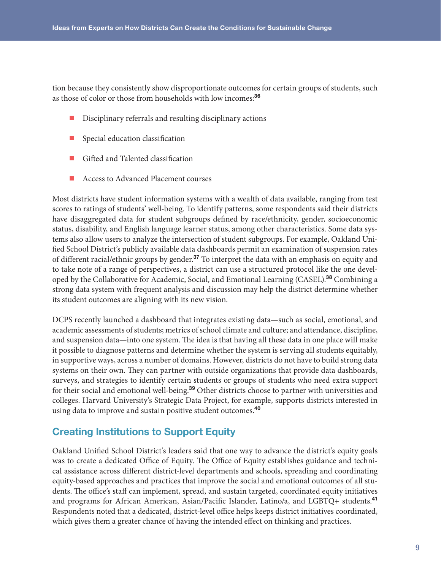<span id="page-8-0"></span>tion because they consistently show disproportionate outcomes for certain groups of students, such as those of color or those from households with low incomes:<sup>[36](#page-15-0)</sup>

- Disciplinary referrals and resulting disciplinary actions
- Special education classification
- Gifted and Talented classification
- Access to Advanced Placement courses

Most districts have student information systems with a wealth of data available, ranging from test scores to ratings of students' well-being. To identify patterns, some respondents said their districts have disaggregated data for student subgroups defined by race/ethnicity, gender, socioeconomic status, disability, and English language learner status, among other characteristics. Some data systems also allow users to analyze the intersection of student subgroups. For example, Oakland Unified School District's publicly available data dashboards permit an examination of suspension rates of different racial/ethnic groups by gender.<sup>[37](#page-15-0)</sup> To interpret the data with an emphasis on equity and to take note of a range of perspectives, a district can use a structured protocol like the one devel-oped by the Collaborative for Academic, Social, and Emotional Learning (CASEL).<sup>[38](#page-15-0)</sup> Combining a strong data system with frequent analysis and discussion may help the district determine whether its student outcomes are aligning with its new vision.

DCPS recently launched a dashboard that integrates existing data—such as social, emotional, and academic assessments of students; metrics of school climate and culture; and attendance, discipline, and suspension data—into one system. The idea is that having all these data in one place will make it possible to diagnose patterns and determine whether the system is serving all students equitably, in supportive ways, across a number of domains. However, districts do not have to build strong data systems on their own. They can partner with outside organizations that provide data dashboards, surveys, and strategies to identify certain students or groups of students who need extra support for their social and emotional well-being.<sup>[39](#page-15-0)</sup> Other districts choose to partner with universities and colleges. Harvard University's Strategic Data Project, for example, supports districts interested in using data to improve and sustain positive student outcomes.<sup>[40](#page-15-0)</sup>

## Creating Institutions to Support Equity

Oakland Unified School District's leaders said that one way to advance the district's equity goals was to create a dedicated Office of Equity. The Office of Equity establishes guidance and technical assistance across different district-level departments and schools, spreading and coordinating equity-based approaches and practices that improve the social and emotional outcomes of all students. The office's staff can implement, spread, and sustain targeted, coordinated equity initiatives and programs for African American, Asian/Pacific Islander, Latino/a, and LGBTQ+ students.[41](#page-15-0) Respondents noted that a dedicated, district-level office helps keeps district initiatives coordinated, which gives them a greater chance of having the intended effect on thinking and practices.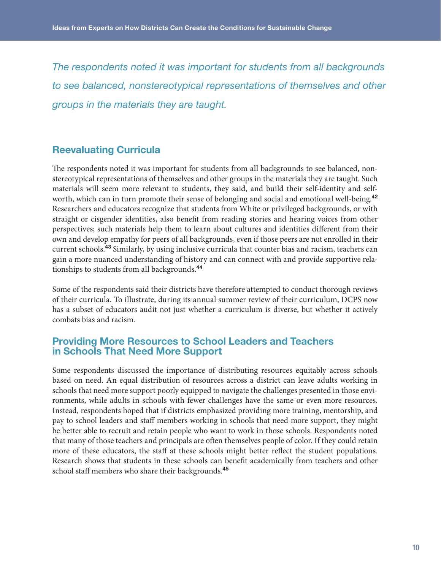<span id="page-9-0"></span>*The respondents noted it was important for students from all backgrounds to see balanced, nonstereotypical representations of themselves and other groups in the materials they are taught.*

## Reevaluating Curricula

The respondents noted it was important for students from all backgrounds to see balanced, nonstereotypical representations of themselves and other groups in the materials they are taught. Such materials will seem more relevant to students, they said, and build their self-identity and self-worth, which can in turn promote their sense of belonging and social and emotional well-being.<sup>[42](#page-15-0)</sup> Researchers and educators recognize that students from White or privileged backgrounds, or with straight or cisgender identities, also benefit from reading stories and hearing voices from other perspectives; such materials help them to learn about cultures and identities different from their own and develop empathy for peers of all backgrounds, even if those peers are not enrolled in their current schools.[43](#page-15-0) Similarly, by using inclusive curricula that counter bias and racism, teachers can gain a more nuanced understanding of history and can connect with and provide supportive relationships to students from all backgrounds.[44](#page-15-0)

Some of the respondents said their districts have therefore attempted to conduct thorough reviews of their curricula. To illustrate, during its annual summer review of their curriculum, DCPS now has a subset of educators audit not just whether a curriculum is diverse, but whether it actively combats bias and racism.

## Providing More Resources to School Leaders and Teachers in Schools That Need More Support

Some respondents discussed the importance of distributing resources equitably across schools based on need. An equal distribution of resources across a district can leave adults working in schools that need more support poorly equipped to navigate the challenges presented in those environments, while adults in schools with fewer challenges have the same or even more resources. Instead, respondents hoped that if districts emphasized providing more training, mentorship, and pay to school leaders and staff members working in schools that need more support, they might be better able to recruit and retain people who want to work in those schools. Respondents noted that many of those teachers and principals are often themselves people of color. If they could retain more of these educators, the staff at these schools might better reflect the student populations. Research shows that students in these schools can benefit academically from teachers and other school staff members who share their backgrounds.<sup>[45](#page-15-0)</sup>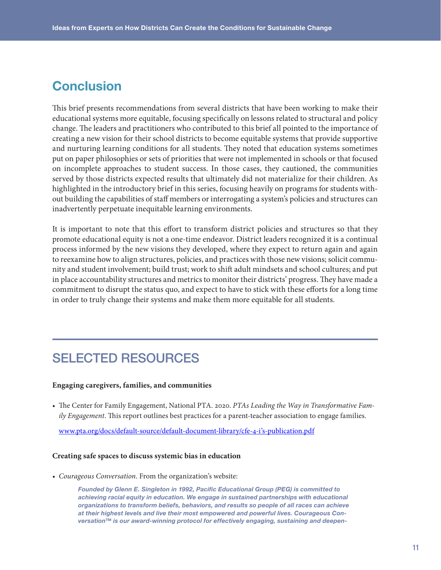# **Conclusion**

This brief presents recommendations from several districts that have been working to make their educational systems more equitable, focusing specifically on lessons related to structural and policy change. The leaders and practitioners who contributed to this brief all pointed to the importance of creating a new vision for their school districts to become equitable systems that provide supportive and nurturing learning conditions for all students. They noted that education systems sometimes put on paper philosophies or sets of priorities that were not implemented in schools or that focused on incomplete approaches to student success. In those cases, they cautioned, the communities served by those districts expected results that ultimately did not materialize for their children. As highlighted in the introductory brief in this series, focusing heavily on programs for students without building the capabilities of staff members or interrogating a system's policies and structures can inadvertently perpetuate inequitable learning environments.

It is important to note that this effort to transform district policies and structures so that they promote educational equity is not a one-time endeavor. District leaders recognized it is a continual process informed by the new visions they developed, where they expect to return again and again to reexamine how to align structures, policies, and practices with those new visions; solicit community and student involvement; build trust; work to shift adult mindsets and school cultures; and put in place accountability structures and metrics to monitor their districts' progress. They have made a commitment to disrupt the status quo, and expect to have to stick with these efforts for a long time in order to truly change their systems and make them more equitable for all students.

# SELECTED RESOURCES

#### **Engaging caregivers, families, and communities**

• The Center for Family Engagement, National PTA. 2020. *PTAs Leading the Way in Transformative Family Engagement*. This report outlines best practices for a parent-teacher association to engage families.

[www.pta.org/docs/default-source/default-document-library/cfe-4-i's-publication.pdf](https://www.pta.org/docs/default-source/default-document-library/cfe-4-i)

#### **Creating safe spaces to discuss systemic bias in education**

*• Courageous Conversation*. From the organization's website:

*Founded by Glenn E. Singleton in 1992, Pacific Educational Group (PEG) is committed to*  achieving racial equity in education. We engage in sustained partnerships with educational *organizations to transform beliefs, behaviors, and results so people of all races can achieve at their highest levels and live their most empowered and powerful lives. Courageous Conversation™ is our award-winning protocol for effectively engaging, sustaining and deepen-*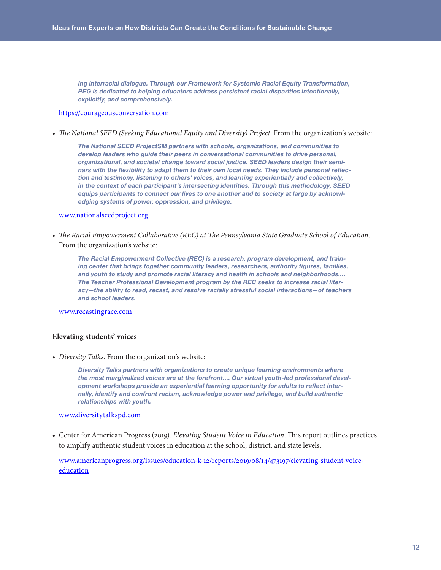*ing interracial dialogue. Through our Framework for Systemic Racial Equity Transformation, PEG is dedicated to helping educators address persistent racial disparities intentionally, explicitly, and comprehensively.*

#### [https://courageousconversation.com](https://courageousconversation.com/)

*• The National SEED (Seeking Educational Equity and Diversity) Project*. From the organization's website:

*The National SEED ProjectSM partners with schools, organizations, and communities to develop leaders who guide their peers in conversational communities to drive personal, organizational, and societal change toward social justice. SEED leaders design their seminars with the flexibility to adapt them to their own local needs. They include personal reflection and testimony, listening to others' voices, and learning experientially and collectively, in the context of each participant's intersecting identities. Through this methodology, SEED equips participants to connect our lives to one another and to society at large by acknowledging systems of power, oppression, and privilege.*

#### [www.nationalseedproject.org](https://www.nationalseedproject.org/)

*• The Racial Empowerment Collaborative (REC) at The Pennsylvania State Graduate School of Education*. From the organization's website:

*The Racial Empowerment Collective (REC) is a research, program development, and training center that brings together community leaders, researchers, authority figures, families, and youth to study and promote racial literacy and health in schools and neighborhoods.... The Teacher Professional Development program by the REC seeks to increase racial literacy—the ability to read, recast, and resolve racially stressful social interactions—of teachers and school leaders.*

[www.recastingrace.com](https://www.recastingrace.com/)

#### **Elevating students' voices**

*• Diversity Talks*. From the organization's website:

*Diversity Talks partners with organizations to create unique learning environments where the most marginalized voices are at the forefront.... Our virtual youth-led professional development workshops provide an experiential learning opportunity for adults to reflect internally, identify and confront racism, acknowledge power and privilege, and build authentic relationships with youth.*

#### [www.diversitytalkspd.com](https://www.diversitytalkspd.com/)

• Center for American Progress (2019). *Elevating Student Voice in Education*. This report outlines practices to amplify authentic student voices in education at the school, district, and state levels.

[www.americanprogress.org/issues/education-k-12/reports/2019/08/14/473197/elevating-student-voice](https://www.americanprogress.org/issues/education-k-12/reports/2019/08/14/473197/elevating-student-voice-education/)[education](https://www.americanprogress.org/issues/education-k-12/reports/2019/08/14/473197/elevating-student-voice-education/)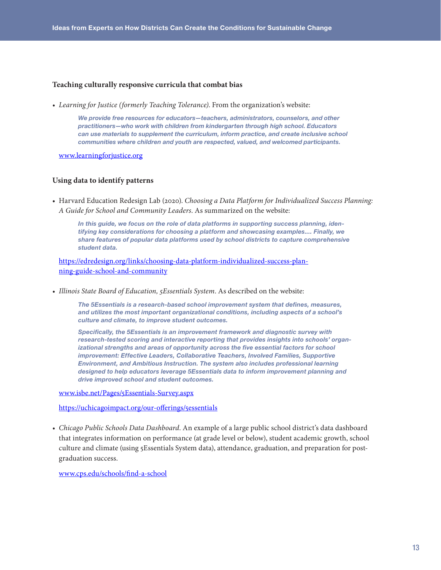#### **Teaching culturally responsive curricula that combat bias**

*• Learning for Justice (formerly Teaching Tolerance)*. From the organization's website:

*We provide free resources for educators—teachers, administrators, counselors, and other practitioners—who work with children from kindergarten through high school. Educators can use materials to supplement the curriculum, inform practice, and create inclusive school communities where children and youth are respected, valued, and welcomed participants.*

[www.learningforjustice.org](https://www.learningforjustice.org/)

#### **Using data to identify patterns**

• Harvard Education Redesign Lab (2020). *Choosing a Data Platform for Individualized Success Planning: A Guide for School and Community Leaders*. As summarized on the website:

*In this guide, we focus on the role of data platforms in supporting success planning, identifying key considerations for choosing a platform and showcasing examples.... Finally, we share features of popular data platforms used by school districts to capture comprehensive student data.*

[https://edredesign.org/links/choosing-data-platform-individualized-success-plan](https://edredesign.org/links/choosing-data-platform-individualized-success-planning-guide-school-and-community)[ning-guide-school-and-community](https://edredesign.org/links/choosing-data-platform-individualized-success-planning-guide-school-and-community)

*• Illinois State Board of Education, 5Essentials System*. As described on the website:

*The 5Essentials is a research-based school improvement system that defines, measures, and utilizes the most important organizational conditions, including aspects of a school's culture and climate, to improve student outcomes.*

*Specifically, the 5Essentials is an improvement framework and diagnostic survey with research-tested scoring and interactive reporting that provides insights into schools' organizational strengths and areas of opportunity across the five essential factors for school improvement: Effective Leaders, Collaborative Teachers, Involved Families, Supportive Environment, and Ambitious Instruction. The system also includes professional learning designed to help educators leverage 5Essentials data to inform improvement planning and drive improved school and student outcomes.*

[www.isbe.net/Pages/5Essentials-Survey.aspx](https://www.isbe.net/Pages/5Essentials-Survey.aspx)

<https://uchicagoimpact.org/our-offerings/5essentials>

*• Chicago Public Schools Data Dashboard*. An example of a large public school district's data dashboard that integrates information on performance (at grade level or below), student academic growth, school culture and climate (using 5Essentials System data), attendance, graduation, and preparation for postgraduation success.

[www.cps.edu/schools/find-a-school](https://www.cps.edu/schools/find-a-school/)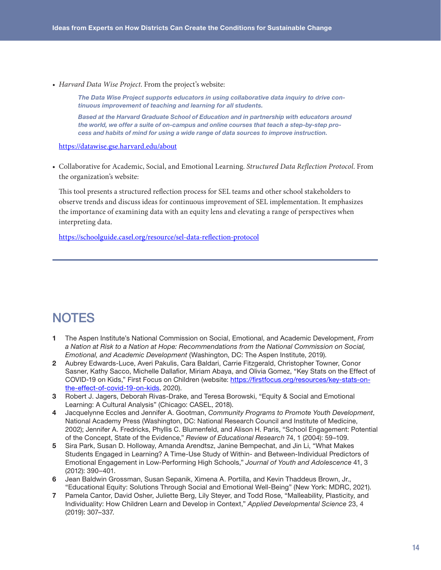<span id="page-13-0"></span>*• Harvard Data Wise Project*. From the project's website:

*The Data Wise Project supports educators in using collaborative data inquiry to drive continuous improvement of teaching and learning for all students.*

*Based at the Harvard Graduate School of Education and in partnership with educators around the world, we offer a suite of on-campus and online courses that teach a step-by-step process and habits of mind for using a wide range of data sources to improve instruction.*

<https://datawise.gse.harvard.edu/about>

• Collaborative for Academic, Social, and Emotional Learning. *Structured Data Reflection Protocol*. From the organization's website:

This tool presents a structured reflection process for SEL teams and other school stakeholders to observe trends and discuss ideas for continuous improvement of SEL implementation. It emphasizes the importance of examining data with an equity lens and elevating a range of perspectives when interpreting data.

[https://schoolguide.casel.org/resource/sel-data-reflection-protocol](https://schoolguide.casel.org/resource/sel-data-reflection-protocol/)

# **NOTES**

- [1](#page-0-0) The Aspen Institute's National Commission on Social, Emotional, and Academic Development, *From a Nation at Risk to a Nation at Hope: Recommendations from the National Commission on Social, Emotional, and Academic Development* (Washington, DC: The Aspen Institute, 2019).
- [2](#page-0-0) Aubrey Edwards-Luce, Averi Pakulis, Cara Baldari, Carrie Fitzgerald, Christopher Towner, Conor Sasner, Kathy Sacco, Michelle Dallafior, Miriam Abaya, and Olivia Gomez, "Key Stats on the Effect of COVID-19 on Kids," First Focus on Children (website: [https://firstfocus.org/resources/key-stats-on](https://firstfocus.org/resources/key-stats-on-the-effect-of-covid-19-on-kids)[the-effect-of-covid-19-on-kids](https://firstfocus.org/resources/key-stats-on-the-effect-of-covid-19-on-kids), 2020).
- [3](#page-0-0) Robert J. Jagers, Deborah Rivas-Drake, and Teresa Borowski, "Equity & Social and Emotional Learning: A Cultural Analysis" (Chicago: CASEL, 2018).
- [4](#page-1-0) Jacquelynne Eccles and Jennifer A. Gootman, *Community Programs to Promote Youth Development*, National Academy Press (Washington, DC: National Research Council and Institute of Medicine, 2002); Jennifer A. Fredricks, Phyllis C. Blumenfeld, and Alison H. Paris, "School Engagement: Potential of the Concept, State of the Evidence," *Review of Educational Research* 74, 1 (2004): 59–109.
- [5](#page-1-0) Sira Park, Susan D. Holloway, Amanda Arendtsz, Janine Bempechat, and Jin Li, "What Makes Students Engaged in Learning? A Time-Use Study of Within- and Between-Individual Predictors of Emotional Engagement in Low-Performing High Schools," *Journal of Youth and Adolescence* 41, 3 (2012): 390–401.
- [6](#page-1-0) Jean Baldwin Grossman, Susan Sepanik, Ximena A. Portilla, and Kevin Thaddeus Brown, Jr., "Educational Equity: Solutions Through Social and Emotional Well-Being" (New York: MDRC, 2021).
- [7](#page-1-0) Pamela Cantor, David Osher, Juliette Berg, Lily Steyer, and Todd Rose, "Malleability, Plasticity, and Individuality: How Children Learn and Develop in Context," *Applied Developmental Science* 23, 4 (2019): 307–337.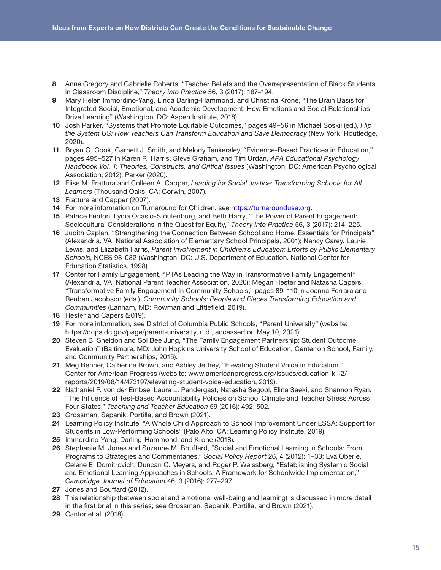- <span id="page-14-0"></span>[8](#page-1-0) Anne Gregory and Gabrielle Roberts, "Teacher Beliefs and the Overrepresentation of Black Students in Classroom Discipline," *Theory into Practice* 56, 3 (2017): 187–194.
- [9](#page-1-0) Mary Helen Immordino-Yang, Linda Darling-Hammond, and Christina Krone, "The Brain Basis for Integrated Social, Emotional, and Academic Development: How Emotions and Social Relationships Drive Learning" (Washington, DC: Aspen Institute, 2018).
- [10](#page-2-0) Josh Parker, "Systems that Promote Equitable Outcomes," pages 49–56 in Michael Soskil (ed.), *Flip the System US: How Teachers Can Transform Education and Save Democracy* (New York: Routledge, 2020).
- [11](#page-2-0) Bryan G. Cook, Garnett J. Smith, and Melody Tankersley, "Evidence-Based Practices in Education," pages 495–527 in Karen R. Harris, Steve Graham, and Tim Urdan, *APA Educational Psychology Handbook Vol. 1: Theories, Constructs, and Critical Issues* (Washington, DC: American Psychological Association, 2012); Parker (2020).
- [12](#page-2-0) Elise M. Frattura and Colleen A. Capper, *Leading for Social Justice: Transforming Schools for All Learners* (Thousand Oaks, CA: Corwin, 2007).
- [13](#page-3-0) Frattura and Capper (2007).
- [14](#page-3-0) For more information on Turnaround for Children, see<https://turnaroundusa.org>.
- [15](#page-4-0) Patrice Fenton, Lydia Ocasio-Stoutenburg, and Beth Harry, "The Power of Parent Engagement: Sociocultural Considerations in the Quest for Equity," *Theory into Practice* 56, 3 (2017): 214–225.
- [16](#page-4-0) Judith Caplan, "Strengthening the Connection Between School and Home. Essentials for Principals" (Alexandria, VA: National Association of Elementary School Principals, 2001); Nancy Carey, Laurie Lewis, and Elizabeth Farris, *Parent Involvement in Children's Education: Efforts by Public Elementary Schools*, NCES 98-032 (Washington, DC: U.S. Department of Education. National Center for Education Statistics, 1998).
- [17](#page-4-0) Center for Family Engagement, "PTAs Leading the Way in Transformative Family Engagement" (Alexandria, VA: National Parent Teacher Association, 2020); Megan Hester and Natasha Capers, "Transformative Family Engagement in Community Schools," pages 89–110 in Joanna Ferrara and Reuben Jacobson (eds.), *Community Schools: People and Places Transforming Education and Communities* (Lanham, MD: Rowman and Littlefield, 2019).
- [18](#page-4-0) Hester and Capers (2019).
- [19](#page-4-0) For more information, see District of Columbia Public Schools, "Parent University" (website: https://dcps.dc.gov/page/parent-university, n.d., accessed on May 10, 2021).
- [20](#page-4-0) Steven B. Sheldon and Sol Bee Jung, "The Family Engagement Partnership: Student Outcome Evaluation" (Baltimore, MD: John Hopkins University School of Education, Center on School, Family, and Community Partnerships, 2015).
- [21](#page-4-0) Meg Benner, Catherine Brown, and Ashley Jeffrey, "Elevating Student Voice in Education," Center for American Progress (website: www.americanprogress.org/issues/education-k-12/ reports/2019/08/14/473197/elevating-student-voice-education, 2019).
- [22](#page-5-0) Nathaniel P. von der Embse, Laura L. Pendergast, Natasha Segool, Elina Saeki, and Shannon Ryan, "The Influence of Test-Based Accountability Policies on School Climate and Teacher Stress Across Four States," *Teaching and Teacher Education* 59 (2016): 492–502.
- [23](#page-5-0) Grossman, Sepanik, Portilla, and Brown (2021).
- [24](#page-5-0) Learning Policy Institute, "A Whole Child Approach to School Improvement Under ESSA: Support for Students in Low-Performing Schools" (Palo Alto, CA: Learning Policy Institute, 2019).
- [25](#page-5-0) Immordino-Yang, Darling-Hammond, and Krone (2018).
- [26](#page-5-0) Stephanie M. Jones and Suzanne M. Bouffard, "Social and Emotional Learning in Schools: From Programs to Strategies and Commentaries," *Social Policy Report* 26, 4 (2012): 1–33; Eva Oberle, Celene E. Domitrovich, Duncan C. Meyers, and Roger P. Weissberg, "Establishing Systemic Social and Emotional Learning Approaches in Schools: A Framework for Schoolwide Implementation," *Cambridge Journal of Education* 46, 3 (2016): 277–297.
- [27](#page-5-0) Jones and Bouffard (2012).
- [28](#page-6-0) This relationship (between social and emotional well-being and learning) is discussed in more detail in the first brief in this series; see Grossman, Sepanik, Portilla, and Brown (2021).
- [29](#page-6-0) Cantor et al. (2018).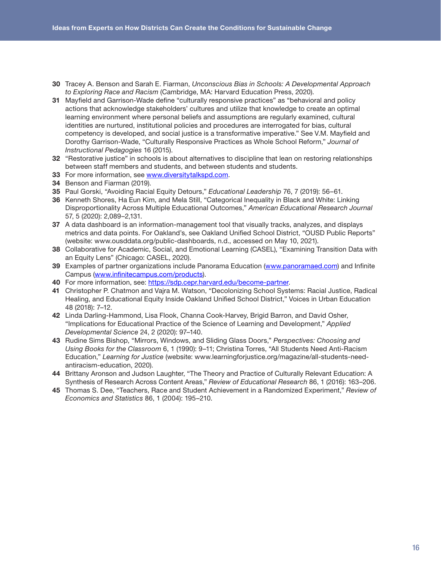- <span id="page-15-0"></span>[30](#page-7-0) Tracey A. Benson and Sarah E. Fiarman, *Unconscious Bias in Schools: A Developmental Approach to Exploring Race and Racism* (Cambridge, MA: Harvard Education Press, 2020).
- [31](#page-7-0) Mayfield and Garrison-Wade define "culturally responsive practices" as "behavioral and policy actions that acknowledge stakeholders' cultures and utilize that knowledge to create an optimal learning environment where personal beliefs and assumptions are regularly examined, cultural identities are nurtured, institutional policies and procedures are interrogated for bias, cultural competency is developed, and social justice is a transformative imperative." See V.M. Mayfield and Dorothy Garrison-Wade, "Culturally Responsive Practices as Whole School Reform," *Journal of Instructional Pedagogies* 16 (2015).
- [32](#page-7-0) "Restorative justice" in schools is about alternatives to discipline that lean on restoring relationships between staff members and students, and between students and students.
- [33](#page-7-0) For more information, see [www.diversitytalkspd.com.](http://www.diversitytalkspd.com/)
- [34](#page-7-0) Benson and Fiarman (2019).
- [35](#page-7-0) Paul Gorski, "Avoiding Racial Equity Detours," *Educational Leadership* 76, 7 (2019): 56–61.
- [36](#page-8-0) Kenneth Shores, Ha Eun Kim, and Mela Still, "Categorical Inequality in Black and White: Linking Disproportionality Across Multiple Educational Outcomes," *American Educational Research Journal* 57, 5 (2020): 2,089–2,131.
- [37](#page-8-0) A data dashboard is an information-management tool that visually tracks, analyzes, and displays metrics and data points. For Oakland's, see Oakland Unified School District, "OUSD Public Reports" (website: www.ousddata.org/public-dashboards, n.d., accessed on May 10, 2021).
- [38](#page-8-0) Collaborative for Academic, Social, and Emotional Learning (CASEL), "Examining Transition Data with an Equity Lens" (Chicago: CASEL, 2020).
- [39](#page-8-0) Examples of partner organizations include Panorama Education ([www.panoramaed.com\)](http://www.panoramaed.com) and Infinite Campus ([www.infinitecampus.com/products\)](http://www.infinitecampus.com/products).
- [40](#page-8-0) For more information, see: [https://sdp.cepr.harvard.edu/become-partner.](https://sdp.cepr.harvard.edu/become-partner)
- [41](#page-8-0) Christopher P. Chatmon and Vajra M. Watson, "Decolonizing School Systems: Racial Justice, Radical Healing, and Educational Equity Inside Oakland Unified School District," Voices in Urban Education 48 (2018): 7–12.
- [42](#page-9-0) Linda Darling-Hammond, Lisa Flook, Channa Cook-Harvey, Brigid Barron, and David Osher, "Implications for Educational Practice of the Science of Learning and Development," *Applied Developmental Science* 24, 2 (2020): 97–140.
- [43](#page-9-0) Rudine Sims Bishop, "Mirrors, Windows, and Sliding Glass Doors," *Perspectives: Choosing and Using Books for the Classroom* 6, 1 (1990): 9–11; Christina Torres, "All Students Need Anti-Racism Education," *Learning for Justice* (website: www.learningforjustice.org/magazine/all-students-needantiracism-education, 2020).
- [44](#page-9-0) Brittany Aronson and Judson Laughter, "The Theory and Practice of Culturally Relevant Education: A Synthesis of Research Across Content Areas," *Review of Educational Research* 86, 1 (2016): 163–206.
- [45](#page-9-0) Thomas S. Dee, "Teachers, Race and Student Achievement in a Randomized Experiment," *Review of Economics and Statistics* 86, 1 (2004): 195–210.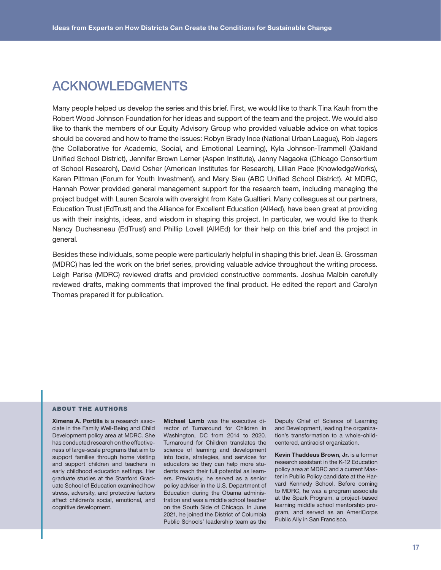# ACKNOWLEDGMENTS

Many people helped us develop the series and this brief. First, we would like to thank Tina Kauh from the Robert Wood Johnson Foundation for her ideas and support of the team and the project. We would also like to thank the members of our Equity Advisory Group who provided valuable advice on what topics should be covered and how to frame the issues: Robyn Brady Ince (National Urban League), Rob Jagers (the Collaborative for Academic, Social, and Emotional Learning), Kyla Johnson-Trammell (Oakland Unified School District), Jennifer Brown Lerner (Aspen Institute), Jenny Nagaoka (Chicago Consortium of School Research), David Osher (American Institutes for Research), Lillian Pace (KnowledgeWorks), Karen Pittman (Forum for Youth Investment), and Mary Sieu (ABC Unified School District). At MDRC, Hannah Power provided general management support for the research team, including managing the project budget with Lauren Scarola with oversight from Kate Gualtieri. Many colleagues at our partners, Education Trust (EdTrust) and the Alliance for Excellent Education (All4ed), have been great at providing us with their insights, ideas, and wisdom in shaping this project. In particular, we would like to thank Nancy Duchesneau (EdTrust) and Phillip Lovell (All4Ed) for their help on this brief and the project in general.

Besides these individuals, some people were particularly helpful in shaping this brief. Jean B. Grossman (MDRC) has led the work on the brief series, providing valuable advice throughout the writing process. Leigh Parise (MDRC) reviewed drafts and provided constructive comments. Joshua Malbin carefully reviewed drafts, making comments that improved the final product. He edited the report and Carolyn Thomas prepared it for publication.

#### ABOUT THE AUTHORS

Ximena A. Portilla is a research associate in the Family Well-Being and Child Development policy area at MDRC. She has conducted research on the effectiveness of large-scale programs that aim to support families through home visiting and support children and teachers in early childhood education settings. Her graduate studies at the Stanford Graduate School of Education examined how stress, adversity, and protective factors affect children's social, emotional, and cognitive development.

Michael Lamb was the executive director of Turnaround for Children in Washington, DC from 2014 to 2020. Turnaround for Children translates the science of learning and development into tools, strategies, and services for educators so they can help more students reach their full potential as learners. Previously, he served as a senior policy adviser in the U.S. Department of Education during the Obama administration and was a middle school teacher on the South Side of Chicago. In June 2021, he joined the District of Columbia Public Schools' leadership team as the

Deputy Chief of Science of Learning and Development, leading the organization's transformation to a whole-childcentered, antiracist organization.

Kevin Thaddeus Brown, Jr. is a former research assistant in the K-12 Education policy area at MDRC and a current Master in Public Policy candidate at the Harvard Kennedy School. Before coming to MDRC, he was a program associate at the Spark Program, a project-based learning middle school mentorship program, and served as an AmeriCorps Public Ally in San Francisco.